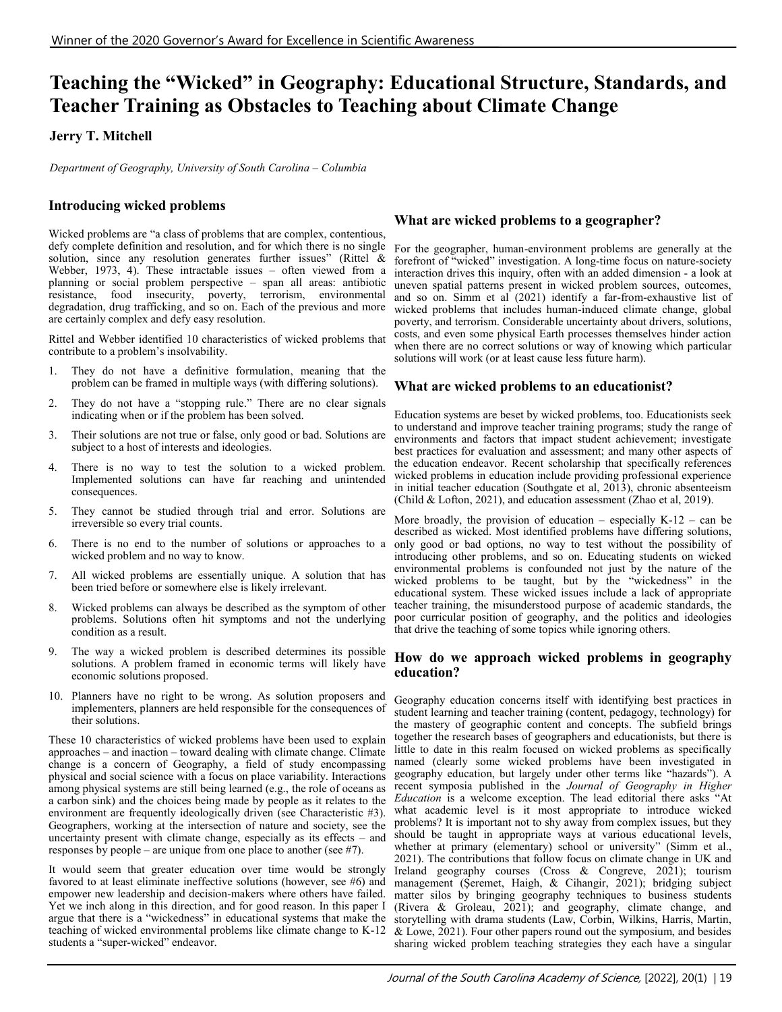# **Teaching the "Wicked" in Geography: Educational Structure, Standards, and Teacher Training as Obstacles to Teaching about Climate Change**

# **Jerry T. Mitchell**

*Department of Geography, University of South Carolina – Columbia*

# **Introducing wicked problems**

Wicked problems are "a class of problems that are complex, contentious, defy complete definition and resolution, and for which there is no single solution, since any resolution generates further issues" (Rittel & Webber, 1973, 4). These intractable issues – often viewed from a planning or social problem perspective – span all areas: antibiotic resistance, food insecurity, poverty, terrorism, environmental degradation, drug trafficking, and so on. Each of the previous and more are certainly complex and defy easy resolution.

Rittel and Webber identified 10 characteristics of wicked problems that contribute to a problem's insolvability.

- 1. They do not have a definitive formulation, meaning that the problem can be framed in multiple ways (with differing solutions).
- 2. They do not have a "stopping rule." There are no clear signals indicating when or if the problem has been solved.
- 3. Their solutions are not true or false, only good or bad. Solutions are subject to a host of interests and ideologies.
- 4. There is no way to test the solution to a wicked problem. Implemented solutions can have far reaching and unintended consequences.
- 5. They cannot be studied through trial and error. Solutions are irreversible so every trial counts.
- 6. There is no end to the number of solutions or approaches to a wicked problem and no way to know.
- 7. All wicked problems are essentially unique. A solution that has been tried before or somewhere else is likely irrelevant.
- 8. Wicked problems can always be described as the symptom of other problems. Solutions often hit symptoms and not the underlying condition as a result.
- 9. The way a wicked problem is described determines its possible solutions. A problem framed in economic terms will likely have economic solutions proposed.
- 10. Planners have no right to be wrong. As solution proposers and implementers, planners are held responsible for the consequences of their solutions.

These 10 characteristics of wicked problems have been used to explain approaches – and inaction – toward dealing with climate change. Climate change is a concern of Geography, a field of study encompassing physical and social science with a focus on place variability. Interactions among physical systems are still being learned (e.g., the role of oceans as a carbon sink) and the choices being made by people as it relates to the environment are frequently ideologically driven (see Characteristic #3). Geographers, working at the intersection of nature and society, see the uncertainty present with climate change, especially as its effects – and responses by people – are unique from one place to another (see #7).

It would seem that greater education over time would be strongly favored to at least eliminate ineffective solutions (however, see #6) and empower new leadership and decision-makers where others have failed. matter silos by bringing geography techniques to business students Yet we inch along in this direction, and for good reason. In this paper I argue that there is a "wickedness" in educational systems that make the teaching of wicked environmental problems like climate change to K-12 students a "super-wicked" endeavor.

### **What are wicked problems to a geographer?**

For the geographer, human-environment problems are generally at the forefront of "wicked" investigation. A long-time focus on nature-society interaction drives this inquiry, often with an added dimension - a look at uneven spatial patterns present in wicked problem sources, outcomes, and so on. Simm et al  $(2021)$  identify a far-from-exhaustive list of wicked problems that includes human-induced climate change, global poverty, and terrorism. Considerable uncertainty about drivers, solutions, costs, and even some physical Earth processes themselves hinder action when there are no correct solutions or way of knowing which particular solutions will work (or at least cause less future harm).

### **What are wicked problems to an educationist?**

Education systems are beset by wicked problems, too. Educationists seek to understand and improve teacher training programs; study the range of environments and factors that impact student achievement; investigate best practices for evaluation and assessment; and many other aspects of the education endeavor. Recent scholarship that specifically references wicked problems in education include providing professional experience in initial teacher education (Southgate et al, 2013), chronic absenteeism (Child & Lofton, 2021), and education assessment (Zhao et al, 2019).

More broadly, the provision of education – especially  $K-12$  – can be described as wicked. Most identified problems have differing solutions, only good or bad options, no way to test without the possibility of introducing other problems, and so on. Educating students on wicked environmental problems is confounded not just by the nature of the wicked problems to be taught, but by the "wickedness" in the educational system. These wicked issues include a lack of appropriate teacher training, the misunderstood purpose of academic standards, the poor curricular position of geography, and the politics and ideologies that drive the teaching of some topics while ignoring others.

### **How do we approach wicked problems in geography education?**

Geography education concerns itself with identifying best practices in student learning and teacher training (content, pedagogy, technology) for the mastery of geographic content and concepts. The subfield brings together the research bases of geographers and educationists, but there is little to date in this realm focused on wicked problems as specifically named (clearly some wicked problems have been investigated in geography education, but largely under other terms like "hazards"). A recent symposia published in the *Journal of Geography in Higher Education* is a welcome exception. The lead editorial there asks "At what academic level is it most appropriate to introduce wicked problems? It is important not to shy away from complex issues, but they should be taught in appropriate ways at various educational levels, whether at primary (elementary) school or university" (Simm et al., 2021). The contributions that follow focus on climate change in UK and Ireland geography courses (Cross & Congreve, 2021); tourism management (Şeremet, Haigh, & Cihangir, 2021); bridging subject (Rivera & Groleau, 2021); and geography, climate change, and storytelling with drama students (Law, Corbin, Wilkins, Harris, Martin, & Lowe, 2021). Four other papers round out the symposium, and besides sharing wicked problem teaching strategies they each have a singular